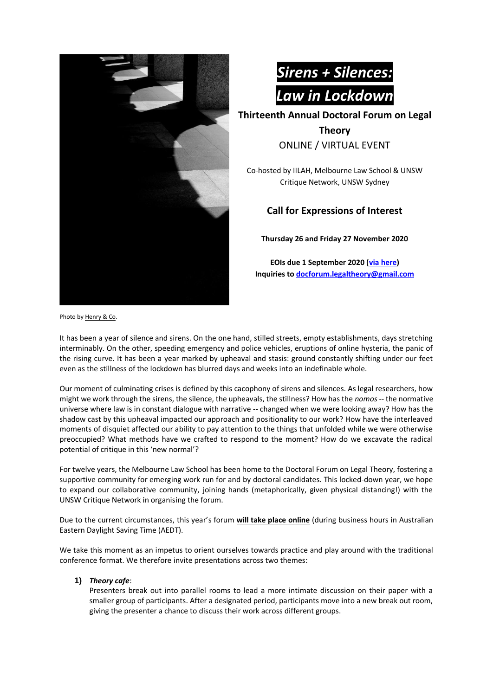



**Thirteenth Annual Doctoral Forum on Legal** 

**Theory**  ONLINE / VIRTUAL EVENT

Co-hosted by IILAH, Melbourne Law School & UNSW Critique Network, UNSW Sydney

## **Call for Expressions of Interest**

**Thursday 26 and Friday 27 November 2020**

**EOIs due 1 September 2020 [\(via here\)](https://forms.gle/Cu6njfUuuJyjyZ6Q8) Inquiries to [docforum.legaltheory@gmail.com](mailto:docforum.legaltheory@gmail.com)**

Photo b[y Henry & Co.](https://unsplash.com/@hngstrm)

It has been a year of silence and sirens. On the one hand, stilled streets, empty establishments, days stretching interminably. On the other, speeding emergency and police vehicles, eruptions of online hysteria, the panic of the rising curve. It has been a year marked by upheaval and stasis: ground constantly shifting under our feet even as the stillness of the lockdown has blurred days and weeks into an indefinable whole.

Our moment of culminating crises is defined by this cacophony of sirens and silences. As legal researchers, how might we work through the sirens, the silence, the upheavals, the stillness? How has the *nomos* -- the normative universe where law is in constant dialogue with narrative -- changed when we were looking away? How has the shadow cast by this upheaval impacted our approach and positionality to our work? How have the interleaved moments of disquiet affected our ability to pay attention to the things that unfolded while we were otherwise preoccupied? What methods have we crafted to respond to the moment? How do we excavate the radical potential of critique in this 'new normal'?

For twelve years, the Melbourne Law School has been home to the Doctoral Forum on Legal Theory, fostering a supportive community for emerging work run for and by doctoral candidates. This locked-down year, we hope to expand our collaborative community, joining hands (metaphorically, given physical distancing!) with the UNSW Critique Network in organising the forum.

Due to the current circumstances, this year's forum **will take place online** (during business hours in Australian Eastern Daylight Saving Time (AEDT).

We take this moment as an impetus to orient ourselves towards practice and play around with the traditional conference format. We therefore invite presentations across two themes:

## **1)** *Theory cafe*:

Presenters break out into parallel rooms to lead a more intimate discussion on their paper with a smaller group of participants. After a designated period, participants move into a new break out room, giving the presenter a chance to discuss their work across different groups.